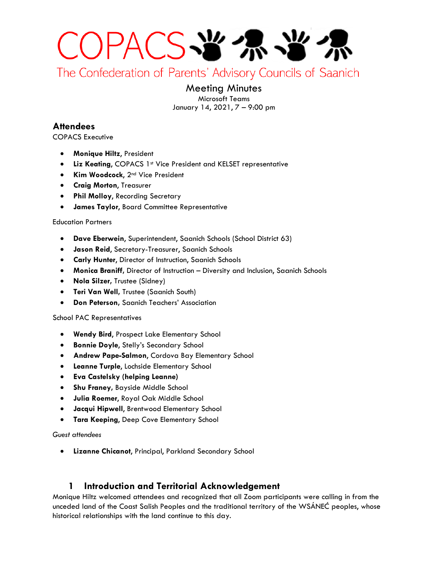

The Confederation of Parents' Advisory Councils of Saanich

# Meeting Minutes

Microsoft Teams January 14, 2021, 7 – 9:00 pm

## **Attendees**

COPACS Executive

- **Monique Hiltz**, President
- Liz Keating, COPACS 1<sup>st</sup> Vice President and KELSET representative
- **Kim Woodcock**, 2nd Vice President
- **Craig Morton**, Treasurer
- **Phil Molloy, Recording Secretary**
- **James Taylor**, Board Committee Representative

#### Education Partners

- **Dave Eberwein**, Superintendent, Saanich Schools (School District 63)
- **Jason Reid**, Secretary-Treasurer, Saanich Schools
- **Carly Hunter**, Director of Instruction, Saanich Schools
- **Monica Braniff,** Director of Instruction Diversity and Inclusion, Saanich Schools
- **Nola Silzer,** Trustee (Sidney)
- **Teri Van Well,** Trustee (Saanich South)
- **Don Peterson,** Saanich Teachers' Association

#### School PAC Representatives

- **Wendy Bird**, Prospect Lake Elementary School
- **Bonnie Doyle**, Stelly's Secondary School
- **Andrew Pape-Salmon**, Cordova Bay Elementary School
- **Leanne Turple**, Lochside Elementary School
- **Eva Castelsky (helping Leanne)**
- **Shu Franey,** Bayside Middle School
- **Julia Roemer**, Royal Oak Middle School
- **Jacqui Hipwell**, Brentwood Elementary School
- **Tara Keeping**, Deep Cove Elementary School

#### *Guest attendees*

• **Lizanne Chicanot**, Principal, Parkland Secondary School

## **1 Introduction and Territorial Acknowledgement**

Monique Hiltz welcomed attendees and recognized that all Zoom participants were calling in from the unceded land of the Coast Salish Peoples and the traditional territory of the WSÁNEĆ peoples, whose historical relationships with the land continue to this day.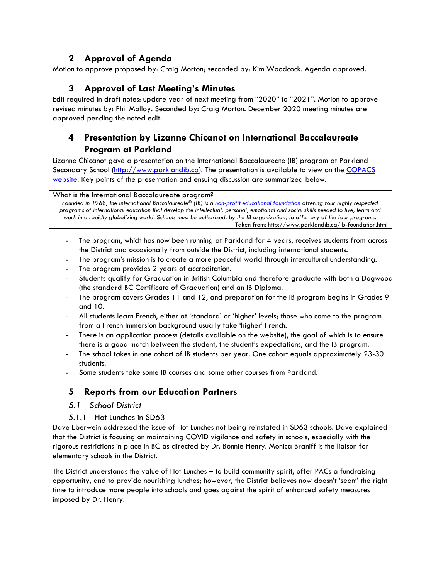## **2 Approval of Agenda**

Motion to approve proposed by: Craig Morton; seconded by: Kim Woodcock. Agenda approved.

## **3 Approval of Last Meeting's Minutes**

Edit required in draft notes: update year of next meeting from "2020" to "2021". Motion to approve revised minutes by: Phil Molloy. Seconded by: Craig Morton. December 2020 meeting minutes are approved pending the noted edit.

## **4 Presentation by Lizanne Chicanot on International Baccalaureate Program at Parkland**

Lizanne Chicanot gave a presentation on the International Baccalaureate (IB) program at Parkland Secondary School [\(http://www.parklandib.ca\)](http://www.parklandib.ca/). The presentation is available to view on the COPACS [website.](https://copacs.sd63.bc.ca/mod/forum/discuss.php?d=235#p241) Key points of the presentation and ensuing discussion are summarized below.

What is the International Baccalaureate program?

*Founded in 1968, the International Baccalaureate® (IB) is a [non-profit educational foundation](http://www.ibo.org/) offering four highly respected programs of international education that develop the intellectual, personal, emotional and social skills needed to live, learn and work in a rapidly globalizing world. Schools must be authorized, by the IB organization, to offer any of the four programs.* Taken from: http://www.parklandib.ca/ib-foundation.html

- The program, which has now been running at Parkland for 4 years, receives students from across the District and occasionally from outside the District, including international students.
- The program's mission is to create a more peaceful world through intercultural understanding.
- The program provides 2 years of accreditation.
- Students qualify for Graduation in British Columbia and therefore graduate with both a Dogwood (the standard BC Certificate of Graduation) and an IB Diploma.
- The program covers Grades 11 and 12, and preparation for the IB program begins in Grades 9 and 10.
- All students learn French, either at 'standard' or 'higher' levels; those who come to the program from a French Immersion background usually take 'higher' French.
- There is an application process (details available on the website), the goal of which is to ensure there is a good match between the student, the student's expectations, and the IB program.
- The school takes in one cohort of IB students per year. One cohort equals approximately 23-30 students.
- Some students take some IB courses and some other courses from Parkland.

## **5 Reports from our Education Partners**

- *5.1 School District*
- 5.1.1 Hot Lunches in SD63

Dave Eberwein addressed the issue of Hot Lunches not being reinstated in SD63 schools. Dave explained that the District is focusing on maintaining COVID vigilance and safety in schools, especially with the rigorous restrictions in place in BC as directed by Dr. Bonnie Henry. Monica Braniff is the liaison for elementary schools in the District.

The District understands the value of Hot Lunches – to build community spirit, offer PACs a fundraising opportunity, and to provide nourishing lunches; however, the District believes now doesn't 'seem' the right time to introduce more people into schools and goes against the spirit of enhanced safety measures imposed by Dr. Henry.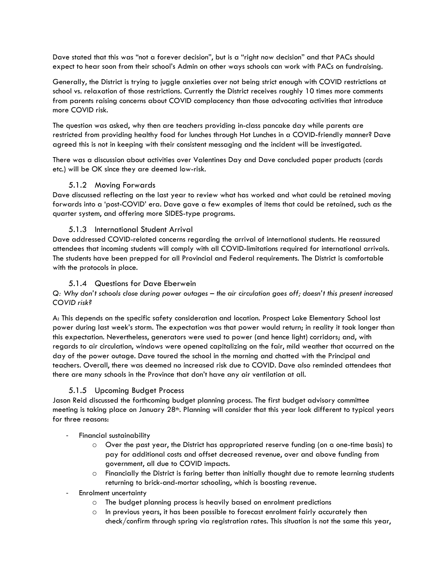Dave stated that this was "not a forever decision", but is a "right now decision" and that PACs should expect to hear soon from their school's Admin on other ways schools can work with PACs on fundraising.

Generally, the District is trying to juggle anxieties over not being strict enough with COVID restrictions at school vs. relaxation of those restrictions. Currently the District receives roughly 10 times more comments from parents raising concerns about COVID complacency than those advocating activities that introduce more COVID risk.

The question was asked, why then are teachers providing in-class pancake day while parents are restricted from providing healthy food for lunches through Hot Lunches in a COVID-friendly manner? Dave agreed this is not in keeping with their consistent messaging and the incident will be investigated.

There was a discussion about activities over Valentines Day and Dave concluded paper products (cards etc.) will be OK since they are deemed low-risk.

#### 5.1.2 Moving Forwards

Dave discussed reflecting on the last year to review what has worked and what could be retained moving forwards into a 'post-COVID' era. Dave gave a few examples of items that could be retained, such as the quarter system, and offering more SIDES-type programs.

### 5.1.3 International Student Arrival

Dave addressed COVID-related concerns regarding the arrival of international students. He reassured attendees that incoming students will comply with all COVID-limitations required for international arrivals. The students have been prepped for all Provincial and Federal requirements. The District is comfortable with the protocols in place.

#### 5.1.4 Questions for Dave Eberwein

*Q: Why don't schools close during power outages – the air circulation goes off; doesn't this present increased COVID risk?*

A: This depends on the specific safety consideration and location. Prospect Lake Elementary School lost power during last week's storm. The expectation was that power would return; in reality it took longer than this expectation. Nevertheless, generators were used to power (and hence light) corridors; and, with regards to air circulation, windows were opened capitalizing on the fair, mild weather that occurred on the day of the power outage. Dave toured the school in the morning and chatted with the Principal and teachers. Overall, there was deemed no increased risk due to COVID. Dave also reminded attendees that there are many schools in the Province that don't have any air ventilation at all.

#### 5.1.5 Upcoming Budget Process

Jason Reid discussed the forthcoming budget planning process. The first budget advisory committee meeting is taking place on January 28<sup>th</sup>. Planning will consider that this year look different to typical years for three reasons:

#### Financial sustainability

- o Over the past year, the District has appropriated reserve funding (on a one-time basis) to pay for additional costs and offset decreased revenue, over and above funding from government, all due to COVID impacts.
- o Financially the District is faring better than initially thought due to remote learning students returning to brick-and-mortar schooling, which is boosting revenue.
- Enrolment uncertainty
	- o The budget planning process is heavily based on enrolment predictions
	- $\circ$  In previous years, it has been possible to forecast enrolment fairly accurately then check/confirm through spring via registration rates. This situation is not the same this year,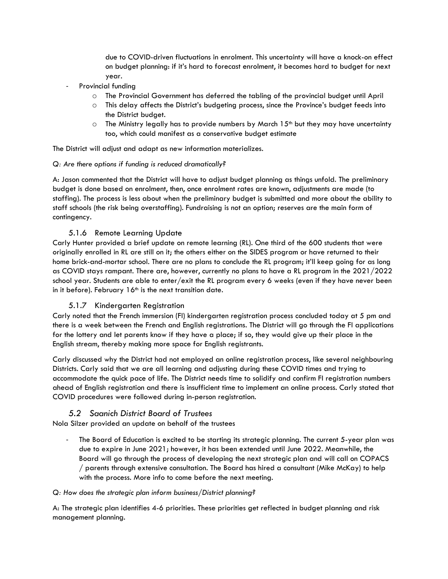due to COVID-driven fluctuations in enrolment. This uncertainty will have a knock-on effect on budget planning: if it's hard to forecast enrolment, it becomes hard to budget for next year.

- Provincial funding
	- o The Provincial Government has deferred the tabling of the provincial budget until April
	- o This delay affects the District's budgeting process, since the Province's budget feeds into the District budget.
	- $\circ$  The Ministry legally has to provide numbers by March 15<sup>th</sup> but they may have uncertainty too, which could manifest as a conservative budget estimate

The District will adjust and adapt as new information materializes.

#### *Q: Are there options if funding is reduced dramatically?*

A: Jason commented that the District will have to adjust budget planning as things unfold. The preliminary budget is done based on enrolment, then, once enrolment rates are known, adjustments are made (to staffing). The process is less about when the preliminary budget is submitted and more about the ability to staff schools (the risk being overstaffing). Fundraising is not an option; reserves are the main form of contingency.

#### 5.1.6 Remote Learning Update

Carly Hunter provided a brief update on remote learning (RL). One third of the 600 students that were originally enrolled in RL are still on it; the others either on the SIDES program or have returned to their home brick-and-mortar school. There are no plans to conclude the RL program; it'll keep going for as long as COVID stays rampant. There are, however, currently no plans to have a RL program in the 2021/2022 school year. Students are able to enter/exit the RL program every 6 weeks (even if they have never been in it before). February  $16<sup>th</sup>$  is the next transition date.

#### 5.1.7 Kindergarten Registration

Carly noted that the French immersion (FI) kindergarten registration process concluded today at 5 pm and there is a week between the French and English registrations. The District will go through the FI applications for the lottery and let parents know if they have a place; if so, they would give up their place in the English stream, thereby making more space for English registrants.

Carly discussed why the District had not employed an online registration process, like several neighbouring Districts. Carly said that we are all learning and adjusting during these COVID times and trying to accommodate the quick pace of life. The District needs time to solidify and confirm FI registration numbers ahead of English registration and there is insufficient time to implement an online process. Carly stated that COVID procedures were followed during in-person registration.

### *5.2 Saanich District Board of Trustees*

Nola Silzer provided an update on behalf of the trustees

The Board of Education is excited to be starting its strategic planning. The current 5-year plan was due to expire in June 2021; however, it has been extended until June 2022. Meanwhile, the Board will go through the process of developing the next strategic plan and will call on COPACS / parents through extensive consultation. The Board has hired a consultant (Mike McKay) to help with the process. More info to come before the next meeting.

#### *Q: How does the strategic plan inform business/District planning?*

A: The strategic plan identifies 4-6 priorities. These priorities get reflected in budget planning and risk management planning.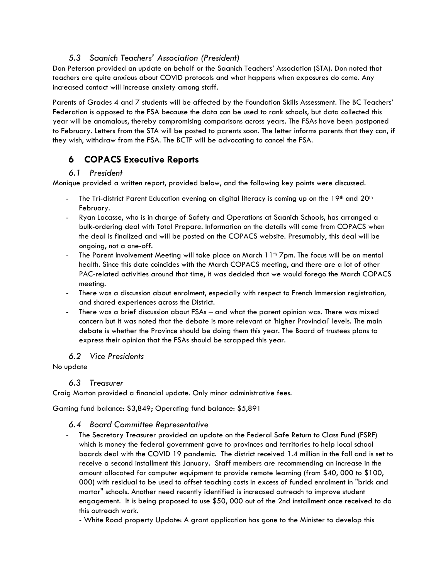## *5.3 Saanich Teachers' Association (President)*

Don Peterson provided an update on behalf or the Saanich Teachers' Association (STA). Don noted that teachers are quite anxious about COVID protocols and what happens when exposures do come. Any increased contact will increase anxiety among staff.

Parents of Grades 4 and 7 students will be affected by the Foundation Skills Assessment. The BC Teachers' Federation is opposed to the FSA because the data can be used to rank schools, but data collected this year will be anomalous, thereby compromising comparisons across years. The FSAs have been postponed to February. Letters from the STA will be posted to parents soon. The letter informs parents that they can, if they wish, withdraw from the FSA. The BCTF will be advocating to cancel the FSA.

## **6 COPACS Executive Reports**

## *6.1 President*

Monique provided a written report, provided below, and the following key points were discussed.

- The Tri-district Parent Education evening on digital literacy is coming up on the  $19<sup>th</sup>$  and  $20<sup>th</sup>$ February.
- Ryan Lacasse, who is in charge of Safety and Operations at Saanich Schools, has arranged a bulk-ordering deal with Total Prepare. Information on the details will come from COPACS when the deal is finalized and will be posted on the COPACS website. Presumably, this deal will be ongoing, not a one-off.
- The Parent Involvement Meeting will take place on March 11<sup>th</sup> 7pm. The focus will be on mental health. Since this date coincides with the March COPACS meeting, and there are a lot of other PAC-related activities around that time, it was decided that we would forego the March COPACS meeting.
- There was a discussion about enrolment, especially with respect to French Immersion registration, and shared experiences across the District.
- There was a brief discussion about FSAs and what the parent opinion was. There was mixed concern but it was noted that the debate is more relevant at 'higher Provincial' levels. The main debate is whether the Province should be doing them this year. The Board of trustees plans to express their opinion that the FSAs should be scrapped this year.

### *6.2 Vice Presidents*

### No update

### *6.3 Treasurer*

Craig Morton provided a financial update. Only minor administrative fees.

Gaming fund balance: \$3,849; Operating fund balance: \$5,891

### *6.4 Board Committee Representative*

- The Secretary Treasurer provided an update on the Federal Safe Return to Class Fund (FSRF) which is money the federal government gave to provinces and territories to help local school boards deal with the COVID 19 pandemic. The district received 1.4 million in the fall and is set to receive a second installment this January. Staff members are recommending an increase in the amount allocated for computer equipment to provide remote learning (from \$40, 000 to \$100, 000) with residual to be used to offset teaching costs in excess of funded enrolment in "brick and mortar" schools. Another need recently identified is increased outreach to improve student engagement. It is being proposed to use \$50, 000 out of the 2nd installment once received to do this outreach work.

- White Road property Update: A grant application has gone to the Minister to develop this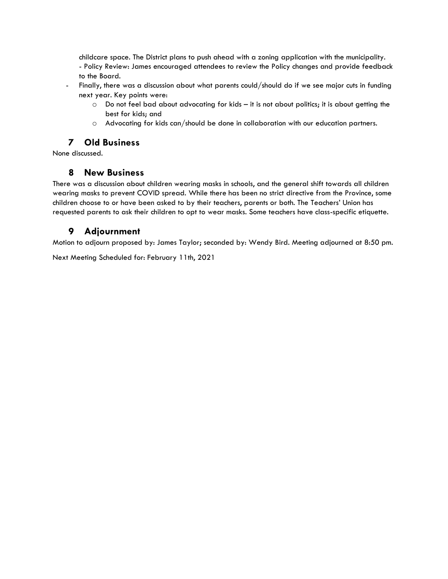childcare space. The District plans to push ahead with a zoning application with the municipality. - Policy Review: James encouraged attendees to review the Policy changes and provide feedback to the Board.

- Finally, there was a discussion about what parents could/should do if we see major cuts in funding next year. Key points were:
	- o Do not feel bad about advocating for kids it is not about politics; it is about getting the best for kids; and
	- o Advocating for kids can/should be done in collaboration with our education partners.

## **7 Old Business**

None discussed.

## **8 New Business**

There was a discussion about children wearing masks in schools, and the general shift towards all children wearing masks to prevent COVID spread. While there has been no strict directive from the Province, some children choose to or have been asked to by their teachers, parents or both. The Teachers' Union has requested parents to ask their children to opt to wear masks. Some teachers have class-specific etiquette.

## **9 Adjournment**

Motion to adjourn proposed by: James Taylor; seconded by: Wendy Bird. Meeting adjourned at 8:50 pm.

Next Meeting Scheduled for: February 11th, 2021